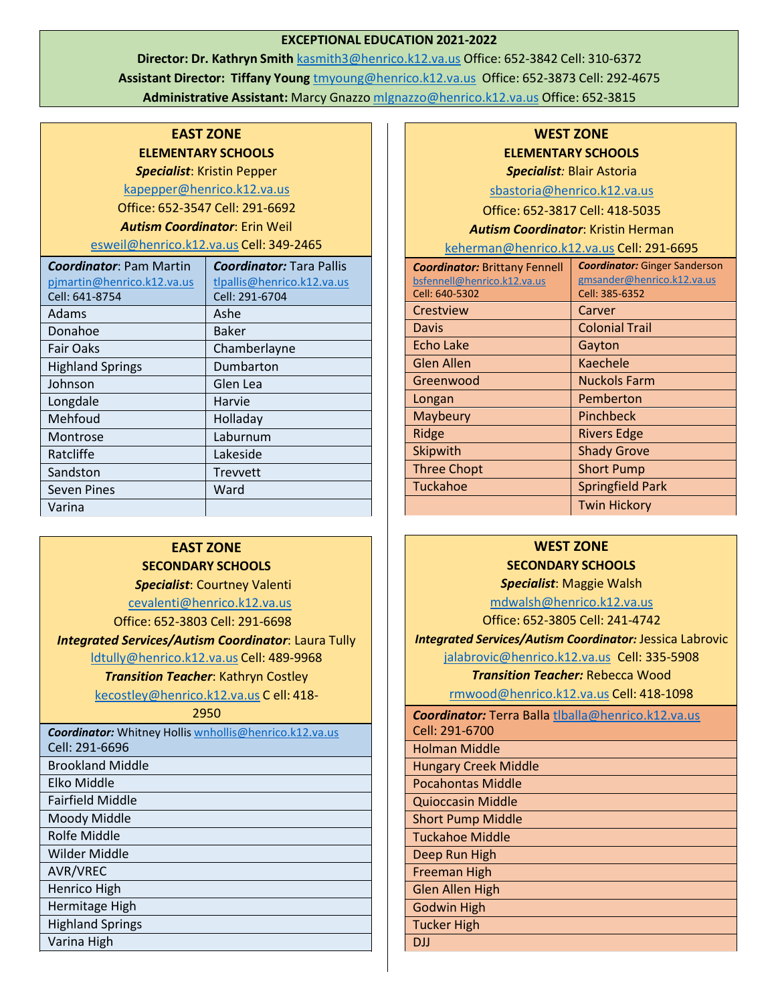#### **EXCEPTIONAL EDUCATION 2021-2022**

**Director: Dr. Kathryn Smith** [kasmith3@henrico.k12.va.us](mailto:kasmith3@henrico.k12.va.us) Office: 652-3842 Cell: 310-6372 **Assistant Director: Tiffany Young** [tmyoung@henrico.k12.va.us](mailto:tmyoung@henrico.k12.va.us) Office: 652-3873 Cell: 292-4675 **Administrative Assistant:** Marcy Gnazzo [mlgnazzo@henrico.k12.va.us](mailto:mlgnazzo@henrico.k12.va.us) Office: 652-3815

## **EAST ZONE ELEMENTARY SCHOOLS**

*Specialist*: Kristin Pepper

[kapepper@henrico.k12.va.us](mailto:kapepper@henrico.k12.va.us)

Office: 652-3547 Cell: 291-6692

*Autism Coordinator*: Erin Weil

[esweil@henrico.k12.va.us](mailto:esweil@henrico.k12.va.us) Cell: 349-2465

| <b>Coordinator: Pam Martin</b> | <b>Coordinator: Tara Pallis</b> |
|--------------------------------|---------------------------------|
| pimartin@henrico.k12.va.us     | tlpallis@henrico.k12.va.us      |
| Cell: 641-8754                 | Cell: 291-6704                  |
| Adams                          | Ashe                            |
| Donahoe                        | Baker                           |
| <b>Fair Oaks</b>               | Chamberlayne                    |
| <b>Highland Springs</b>        | Dumbarton                       |
| Johnson                        | Glen Lea                        |
| Longdale                       | Harvie                          |
| Mehfoud                        | Holladay                        |
| Montrose                       | Laburnum                        |
| Ratcliffe                      | Lakeside                        |
| Sandston                       | Trevvett                        |
| <b>Seven Pines</b>             | Ward                            |
| Varina                         |                                 |

## **EAST ZONE SECONDARY SCHOOLS**

*Specialist*: Courtney Valenti

[cevalenti@henrico.k12.va.us](mailto:cevalenti@henrico.k12.va.us)

Office: 652-3803 Cell: 291-6698

*Integrated Services/Autism Coordinator*: Laura Tully

[ldtully@henrico.k12.va.us](mailto:ldtully@henrico.k12.va.us) Cell: 489-9968

#### *Transition Teacher*: Kathryn Costley

[kecostley@henrico.k12.va.us](mailto:kecostley@henrico.k12.va.us) C ell: 418-

#### 2950

| <b>Coordinator:</b> Whitney Hollis wnhollis@henrico.k12.va.us |
|---------------------------------------------------------------|
| Cell: 291-6696                                                |
| <b>Brookland Middle</b>                                       |
| Elko Middle                                                   |
|                                                               |

Fairfield Middle

Moody Middle

Rolfe Middle

Wilder Middle

AVR/VREC

Henrico High

Hermitage High

Highland Springs

Varina High

# **WEST ZONE ELEMENTARY SCHOOLS**

*Specialist:* Blair Astoria

[sbastoria@henrico.k12.va.us](mailto:sbastoria@henrico.k12.va.us)

Office: 652-3817 Cell: 418-5035

*Autism Coordinator*: Kristin Herman

| keherman@henrico.k12.va.us Cell: 291-6695 |
|-------------------------------------------|
|-------------------------------------------|

| <b>Coordinator: Brittany Fennell</b>          | <b>Coordinator:</b> Ginger Sanderson         |
|-----------------------------------------------|----------------------------------------------|
| bsfennell@henrico.k12.va.us<br>Cell: 640-5302 | gmsander@henrico.k12.va.us<br>Cell: 385-6352 |
| Crestview                                     | Carver                                       |
| Davis                                         | <b>Colonial Trail</b>                        |
| <b>Echo Lake</b>                              | Gayton                                       |
| <b>Glen Allen</b>                             | Kaechele                                     |
| Greenwood                                     | <b>Nuckols Farm</b>                          |
| Longan                                        | Pemberton                                    |
| Maybeury                                      | Pinchbeck                                    |
| Ridge                                         | <b>Rivers Edge</b>                           |
| Skipwith                                      | <b>Shady Grove</b>                           |
| <b>Three Chopt</b>                            | <b>Short Pump</b>                            |
| Tuckahoe                                      | <b>Springfield Park</b>                      |
|                                               | <b>Twin Hickory</b>                          |
|                                               |                                              |

# **WEST ZONE SECONDARY SCHOOLS**

*Specialist*: Maggie Walsh [mdwalsh@henrico.k12.va.us](mailto:mdwalsh@henrico.k12.va.us)

Office: 652-3805 Cell: 241-4742

*Integrated Services/Autism Coordinator:* Jessica Labrovic

[jalabrovic@henrico.k12.va.us](mailto:jalabrovic@henrico.k12.va.us) Cell: 335-5908

*Transition Teacher:* Rebecca Wood

[rmwood@henrico.k12.va.us](mailto:rmwood@henrico.k12.va.us) Cell: 418-1098

| <b>Coordinator:</b> Terra Balla tlballa@henrico.k12.va.us |
|-----------------------------------------------------------|
| Cell: 291-6700                                            |
| <b>Holman Middle</b>                                      |
| <b>Hungary Creek Middle</b>                               |
| Pocahontas Middle                                         |
| <b>Quioccasin Middle</b>                                  |
| <b>Short Pump Middle</b>                                  |
| Tuckahoe Middle                                           |
| Deep Run High                                             |
| <b>Freeman High</b>                                       |
| <b>Glen Allen High</b>                                    |
| <b>Godwin High</b>                                        |
| <b>Tucker High</b>                                        |
| DII                                                       |